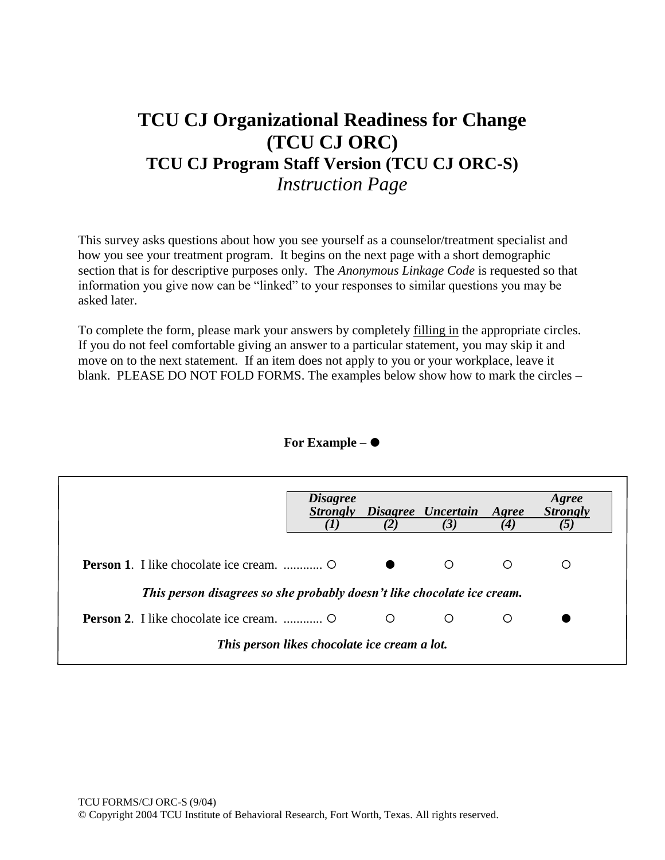# **TCU CJ Organizational Readiness for Change (TCU CJ ORC) TCU CJ Program Staff Version (TCU CJ ORC-S)** *Instruction Page*

This survey asks questions about how you see yourself as a counselor/treatment specialist and how you see your treatment program. It begins on the next page with a short demographic section that is for descriptive purposes only. The *Anonymous Linkage Code* is requested so that information you give now can be "linked" to your responses to similar questions you may be asked later.

To complete the form, please mark your answers by completely filling in the appropriate circles. If you do not feel comfortable giving an answer to a particular statement, you may skip it and move on to the next statement. If an item does not apply to you or your workplace, leave it blank. PLEASE DO NOT FOLD FORMS. The examples below show how to mark the circles –

#### **For Example** –

|                                                                         | <i>Disagree</i> | (2) | Strongly Disagree Uncertain Agree<br>(3) | $\boldsymbol{4}$ | Agree<br><b>Strongly</b> |
|-------------------------------------------------------------------------|-----------------|-----|------------------------------------------|------------------|--------------------------|
|                                                                         |                 |     | $\Omega$                                 |                  | O                        |
| This person disagrees so she probably doesn't like chocolate ice cream. |                 |     |                                          |                  |                          |
|                                                                         |                 | O   | $\bigcirc$                               |                  |                          |
| This person likes chocolate ice cream a lot.                            |                 |     |                                          |                  |                          |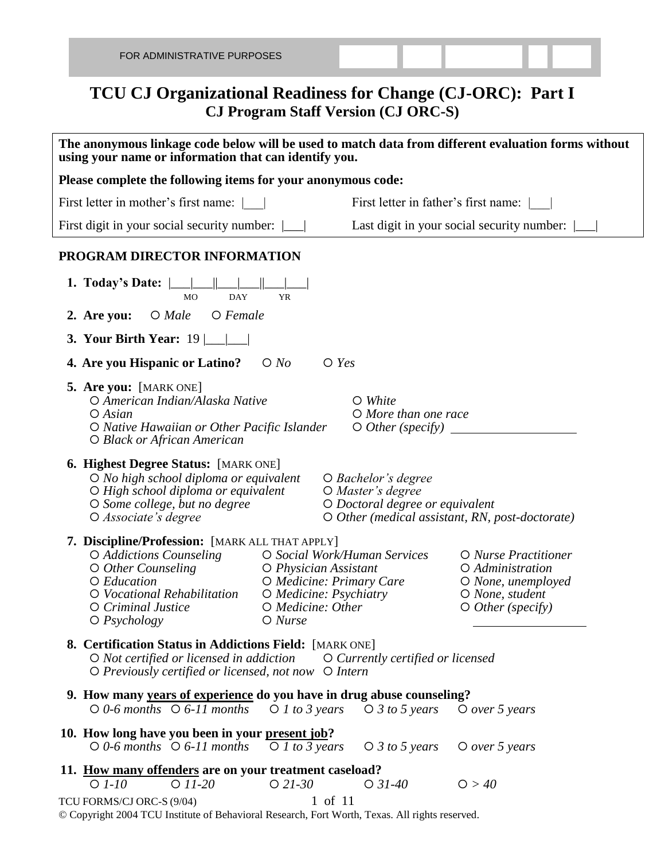### **TCU CJ Organizational Readiness for Change (CJ-ORC): Part I CJ Program Staff Version (CJ ORC-S)**

| The anonymous linkage code below will be used to match data from different evaluation forms without<br>using your name or information that can identify you.                                                                             |                                                                                                                                                                                                                                                  |  |  |  |  |  |  |  |
|------------------------------------------------------------------------------------------------------------------------------------------------------------------------------------------------------------------------------------------|--------------------------------------------------------------------------------------------------------------------------------------------------------------------------------------------------------------------------------------------------|--|--|--|--|--|--|--|
| Please complete the following items for your anonymous code:                                                                                                                                                                             |                                                                                                                                                                                                                                                  |  |  |  |  |  |  |  |
| First letter in mother's first name:                                                                                                                                                                                                     | First letter in father's first name:                                                                                                                                                                                                             |  |  |  |  |  |  |  |
| First digit in your social security number:                                                                                                                                                                                              | Last digit in your social security number:                                                                                                                                                                                                       |  |  |  |  |  |  |  |
| PROGRAM DIRECTOR INFORMATION                                                                                                                                                                                                             |                                                                                                                                                                                                                                                  |  |  |  |  |  |  |  |
| 1. Today's Date: $\parallel$<br><b>DAY</b><br><b>MO</b><br><b>YR</b>                                                                                                                                                                     |                                                                                                                                                                                                                                                  |  |  |  |  |  |  |  |
| $O$ Female<br>$O$ <i>Male</i><br>2. Are you:                                                                                                                                                                                             |                                                                                                                                                                                                                                                  |  |  |  |  |  |  |  |
| 3. Your Birth Year: $19 \boxed{\_\_\_\_\_\_\_\_\_\_\_}$                                                                                                                                                                                  |                                                                                                                                                                                                                                                  |  |  |  |  |  |  |  |
| 4. Are you Hispanic or Latino?<br>$\bigcirc$ No                                                                                                                                                                                          | $\bigcirc$ Yes                                                                                                                                                                                                                                   |  |  |  |  |  |  |  |
| 5. Are you: [MARK ONE]<br>O American Indian/Alaska Native<br>$O$ Asian<br>O Native Hawaiian or Other Pacific Islander<br>O Black or African American                                                                                     | $\circ$ White<br>O More than one race<br>$\bigcirc$ Other (specify)                                                                                                                                                                              |  |  |  |  |  |  |  |
| <b>6. Highest Degree Status:</b> [MARK ONE]<br>$\bigcirc$ No high school diploma or equivalent<br>$\bigcirc$ High school diploma or equivalent<br>O Some college, but no degree<br>O Associate's degree                                  | ○ Bachelor's degree<br>O Master's degree<br>O Doctoral degree or equivalent<br>$\circ$ O Other (medical assistant, RN, post-doctorate)                                                                                                           |  |  |  |  |  |  |  |
| 7. Discipline/Profession: [MARK ALL THAT APPLY]<br>O Addictions Counseling<br>$\circ$ Other Counseling<br>O Education<br>O Vocational Rehabilitation<br>O Criminal Justice<br>$\bigcirc$ Psychology<br>O Nurse                           | O Social Work/Human Services<br>O Nurse Practitioner<br>O Physician Assistant<br>O Administration<br>O Medicine: Primary Care<br>O None, unemployed<br>O Medicine: Psychiatry<br>O None, student<br>O Medicine: Other<br>$\circ$ Other (specify) |  |  |  |  |  |  |  |
| <b>8. Certification Status in Addictions Field:</b> [MARK ONE]<br>$\bigcirc$ Not certified or licensed in addiction $\bigcirc$ Currently certified or licensed<br>$\bigcirc$ Previously certified or licensed, not now $\bigcirc$ Intern |                                                                                                                                                                                                                                                  |  |  |  |  |  |  |  |
| 9. How many years of experience do you have in drug abuse counseling?                                                                                                                                                                    |                                                                                                                                                                                                                                                  |  |  |  |  |  |  |  |
|                                                                                                                                                                                                                                          | $\bigcirc$ 0-6 months $\bigcirc$ 6-11 months $\bigcirc$ 1 to 3 years $\bigcirc$ 3 to 5 years $\bigcirc$ over 5 years                                                                                                                             |  |  |  |  |  |  |  |
| 10. How long have you been in your present job?<br>$\circ$ 0-6 months $\circ$ 6-11 months<br>$O$ 1 to 3 years                                                                                                                            | $\bigcirc$ 3 to 5 years $\bigcirc$ over 5 years                                                                                                                                                                                                  |  |  |  |  |  |  |  |
| 11. How many offenders are on your treatment caseload?<br>$O$ 11-20<br>$O$ $1-10$<br>$O$ 21-30                                                                                                                                           | O > 40<br>$\bigcirc$ 31-40                                                                                                                                                                                                                       |  |  |  |  |  |  |  |
| TCU FORMS/CJ ORC-S (9/04)<br>© Copyright 2004 TCU Institute of Behavioral Research, Fort Worth, Texas. All rights reserved.                                                                                                              | 1 of 11                                                                                                                                                                                                                                          |  |  |  |  |  |  |  |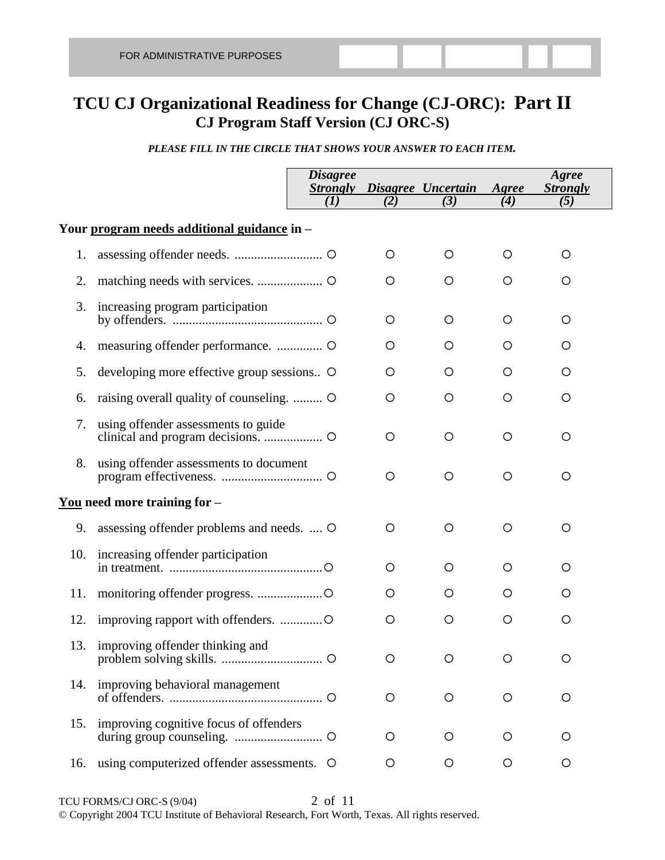## **TCU CJ Organizational Readiness for Change (CJ-ORC): Part II CJ Program Staff Version (CJ ORC-S)**

#### *PLEASE FILL IN THE CIRCLE THAT SHOWS YOUR ANSWER TO EACH ITEM.*

|     |                                             | <i>Disagree</i><br><b>Strongly</b><br>(I) | (2)     | Disagree Uncertain<br>(3) | Agree<br>(4) | Agree<br><b>Strongly</b><br>(5) |  |  |
|-----|---------------------------------------------|-------------------------------------------|---------|---------------------------|--------------|---------------------------------|--|--|
|     |                                             |                                           |         |                           |              |                                 |  |  |
|     | Your program needs additional guidance in - |                                           |         |                           |              |                                 |  |  |
| 1.  |                                             |                                           | O       | $\circ$                   | O            | O                               |  |  |
| 2.  |                                             |                                           | O       | O                         | O            | O                               |  |  |
| 3.  | increasing program participation            |                                           | O       | O                         | O            | O                               |  |  |
| 4.  |                                             |                                           | O       | O                         | O            | O                               |  |  |
| 5.  | developing more effective group sessions    |                                           | O       | O                         | $\circ$      | O                               |  |  |
| 6.  | raising overall quality of counseling.      |                                           | O       | O                         | O            | O                               |  |  |
| 7.  | using offender assessments to guide         |                                           | $\circ$ | $\circ$                   | $\circ$      | O                               |  |  |
| 8.  | using offender assessments to document      |                                           | $\circ$ | $\circ$                   | $\circ$      | O                               |  |  |
|     | <u>You</u> need more training for $-$       |                                           |         |                           |              |                                 |  |  |
| 9.  | assessing offender problems and needs.  O   |                                           | O       | $\circ$                   | $\circ$      | O                               |  |  |
| 10. | increasing offender participation           |                                           | O       | O                         | O            | O                               |  |  |
| 11. |                                             |                                           | O       | O                         | O            | O                               |  |  |
| 12. |                                             |                                           | $\circ$ | $\circ$                   | O            | O                               |  |  |
|     | 13. improving offender thinking and         |                                           | O       | O                         | $\circ$      | $\circ$                         |  |  |
| 14. | improving behavioral management             |                                           | $\circ$ | $\circ$                   | $\circ$      | $\circ$                         |  |  |
| 15. | improving cognitive focus of offenders      |                                           | O       | O                         | O            | O                               |  |  |
| 16. | using computerized offender assessments. O  |                                           | $\circ$ | $\circ$                   | $\circ$      | $\circ$                         |  |  |

TCU FORMS/CJ ORC-S (9/04) 2 of 11 © Copyright 2004 TCU Institute of Behavioral Research, Fort Worth, Texas. All rights reserved.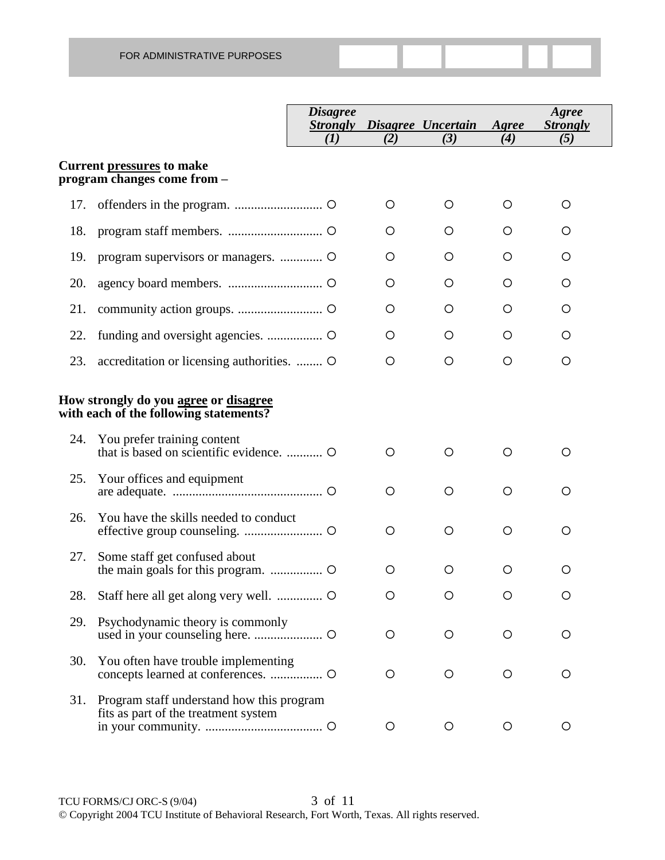|     |                                                                                   | <b>Disagree</b><br><i><b>Strongly</b></i> |     | Disagree Uncertain | Agree      | Agree<br><b>Strongly</b> |
|-----|-----------------------------------------------------------------------------------|-------------------------------------------|-----|--------------------|------------|--------------------------|
|     |                                                                                   | (I)                                       | (2) | (3)                | (4)        | (5)                      |
|     | Current pressures to make<br>program changes come from -                          |                                           |     |                    |            |                          |
| 17. |                                                                                   |                                           | O   | O                  | O          | O                        |
| 18. |                                                                                   |                                           | O   | O                  | O          | O                        |
| 19. |                                                                                   |                                           | O   | O                  | O          | O                        |
| 20. |                                                                                   |                                           | O   | O                  | O          | O                        |
| 21. |                                                                                   |                                           | O   | O                  | O          | O                        |
| 22. |                                                                                   |                                           | O   | O                  | O          | O                        |
| 23. | accreditation or licensing authorities.  O                                        |                                           | O   | $\circ$            | O          | O                        |
|     | How strongly do you agree or disagree<br>with each of the following statements?   |                                           |     |                    |            |                          |
| 24. | You prefer training content                                                       |                                           | O   | O                  | O          | O                        |
| 25. | Your offices and equipment                                                        |                                           | O   | O                  | $\circ$    | O                        |
| 26. | You have the skills needed to conduct                                             |                                           | O   | O                  | $\circ$    | O                        |
| 27. | Some staff get confused about                                                     |                                           | O   | O                  | $\circ$    | O                        |
| 28. |                                                                                   |                                           | O   | O                  | O          | O                        |
| 29. | Psychodynamic theory is commonly                                                  |                                           | O   | O                  | $\circ$    | O                        |
| 30. | You often have trouble implementing                                               |                                           | O   | O                  | $\circ$    | O                        |
| 31. | Program staff understand how this program<br>fits as part of the treatment system |                                           | O   | $\circ$            | $\bigcirc$ | O                        |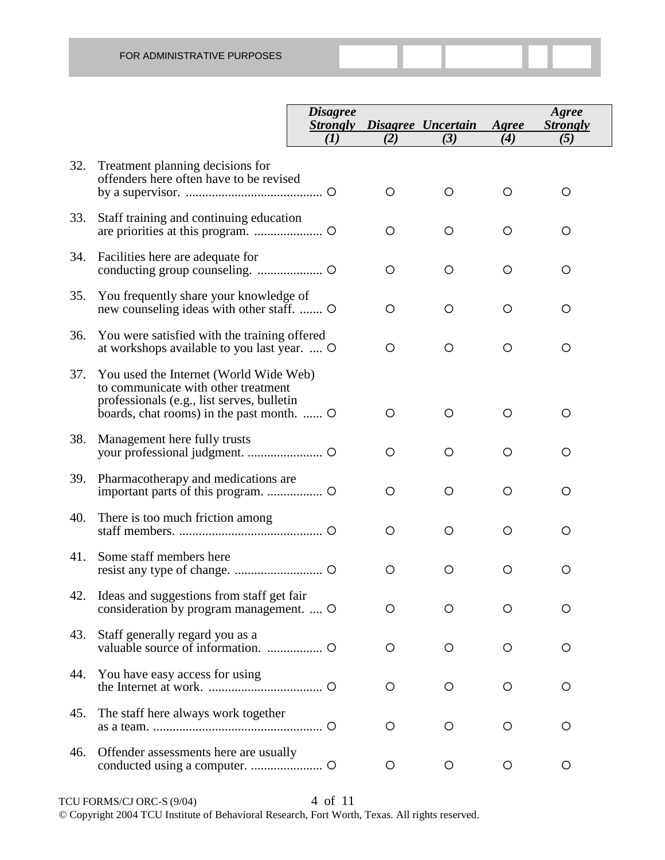|     |                                                                                                                                                                          | <i><b>Disagree</b></i><br><b>Strongly</b> |         | Disagree Uncertain | Agree   | Agree<br><b>Strongly</b> |
|-----|--------------------------------------------------------------------------------------------------------------------------------------------------------------------------|-------------------------------------------|---------|--------------------|---------|--------------------------|
|     |                                                                                                                                                                          | (I)                                       | (2)     | (3)                | (4)     | (5)                      |
| 32. | Treatment planning decisions for<br>offenders here often have to be revised                                                                                              |                                           | $\circ$ | O                  | O       | O                        |
| 33. | Staff training and continuing education                                                                                                                                  |                                           | $\circ$ | O                  | O       | O                        |
| 34. | Facilities here are adequate for                                                                                                                                         |                                           | $\circ$ | O                  | O       | O                        |
| 35. | You frequently share your knowledge of<br>new counseling ideas with other staff.  O                                                                                      |                                           | $\circ$ | O                  | O       | O                        |
| 36. | You were satisfied with the training offered<br>at workshops available to you last year.  O                                                                              |                                           | $\circ$ | O                  | O       | O                        |
| 37. | You used the Internet (World Wide Web)<br>to communicate with other treatment<br>professionals (e.g., list serves, bulletin<br>boards, chat rooms) in the past month.  O |                                           | $\circ$ | O                  | O       | O                        |
| 38. | Management here fully trusts                                                                                                                                             |                                           | O       | O                  | O       | O                        |
| 39. | Pharmacotherapy and medications are                                                                                                                                      |                                           | $\circ$ | O                  | O       | O                        |
| 40. | There is too much friction among                                                                                                                                         |                                           | O       | O                  | O       | O                        |
| 41. | Some staff members here                                                                                                                                                  |                                           | O       | O                  | O       | O                        |
| 42. | Ideas and suggestions from staff get fair<br>consideration by program management.  O                                                                                     |                                           | O       | O                  | ◯       | Ω                        |
| 43. | Staff generally regard you as a                                                                                                                                          |                                           | O       | O                  | $\circ$ | O                        |
| 44. | You have easy access for using                                                                                                                                           |                                           | O       | O                  | O       | O                        |
| 45. | The staff here always work together                                                                                                                                      |                                           | O       | O                  | O       | O                        |
| 46. | Offender assessments here are usually                                                                                                                                    |                                           | O       | $\circ$            | $\circ$ | O                        |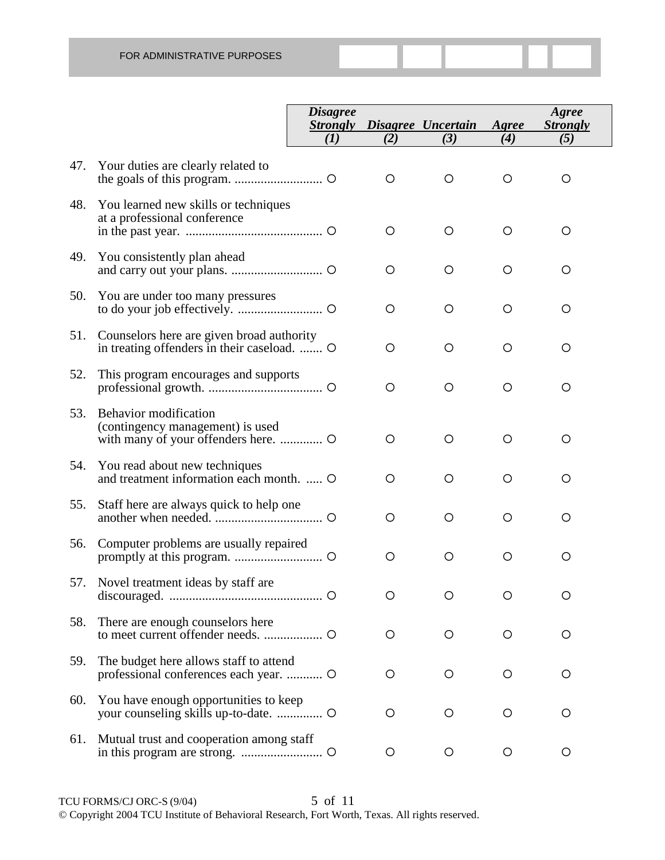|     |                                                                                          | <b>Disagree</b><br><b>Strongly</b> |         | Disagree Uncertain | Agree   | Agree<br><b>Strongly</b> |
|-----|------------------------------------------------------------------------------------------|------------------------------------|---------|--------------------|---------|--------------------------|
|     |                                                                                          | (I)                                | (2)     | (3)                | (4)     | (5)                      |
| 47. | Your duties are clearly related to                                                       |                                    | O       | O                  | O       | O                        |
| 48. | You learned new skills or techniques<br>at a professional conference                     |                                    | $\circ$ | $\circ$            | O       | O                        |
| 49. | You consistently plan ahead                                                              |                                    | $\circ$ | O                  | O       | O                        |
| 50. | You are under too many pressures                                                         |                                    | $\circ$ | O                  | O       | O                        |
| 51. | Counselors here are given broad authority<br>in treating offenders in their caseload.  O |                                    | O       | $\circ$            | O       | O                        |
| 52. | This program encourages and supports                                                     |                                    | O       | O                  | O       | O                        |
| 53. | Behavior modification<br>(contingency management) is used                                |                                    | $\circ$ | O                  | O       | O                        |
| 54. | You read about new techniques<br>and treatment information each month.  O                |                                    | O       | O                  | O       | O                        |
| 55. | Staff here are always quick to help one                                                  |                                    | $\circ$ | O                  | O       | O                        |
| 56. | Computer problems are usually repaired                                                   |                                    | $\circ$ | $\circ$            | $\circ$ | O                        |
| 57. | Novel treatment ideas by staff are                                                       |                                    | O       | O                  | O       | O                        |
| 58. | There are enough counselors here                                                         |                                    | O       | O                  | O       | O                        |
| 59. | The budget here allows staff to attend                                                   |                                    | O       | O                  | O       | O                        |
| 60. | You have enough opportunities to keep                                                    |                                    | O       | O                  | O       | O                        |
| 61. | Mutual trust and cooperation among staff                                                 |                                    | O       | O                  | O       | O                        |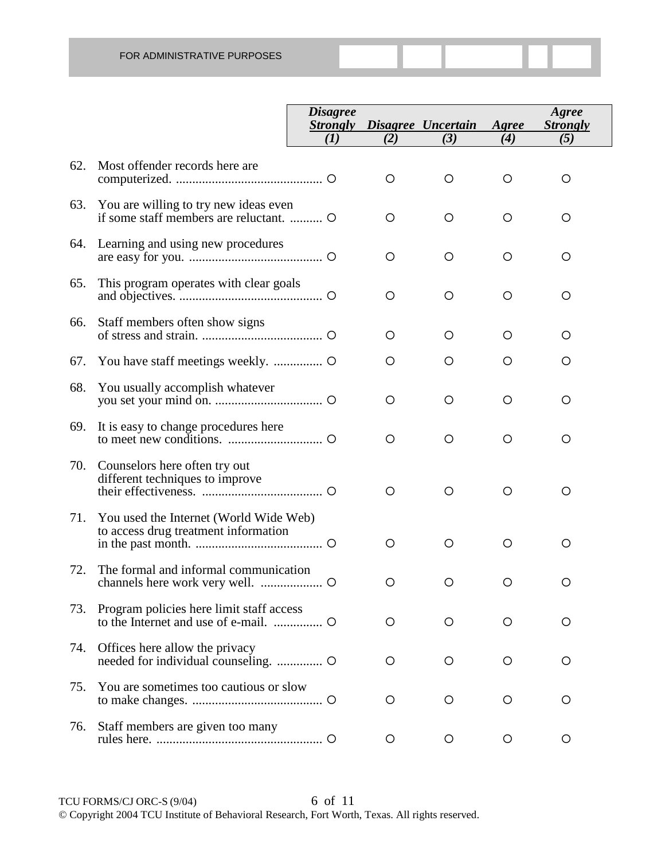|     |                                                                                | <b>Disagree</b><br><b>Strongly</b><br>(I) | (2)     | Disagree Uncertain<br>(3) | Agree<br>(4) | Agree<br><b>Strongly</b><br>(5) |
|-----|--------------------------------------------------------------------------------|-------------------------------------------|---------|---------------------------|--------------|---------------------------------|
|     |                                                                                |                                           |         |                           |              |                                 |
| 62. | Most offender records here are                                                 |                                           | O       | $\circ$                   | $\circ$      | O                               |
| 63. | You are willing to try new ideas even<br>if some staff members are reluctant.  |                                           | O       | O                         | O            | $\circ$                         |
| 64. | Learning and using new procedures                                              |                                           | $\circ$ | $\circ$                   | O            | $\circ$                         |
| 65. | This program operates with clear goals                                         |                                           | $\circ$ | $\circ$                   | O            | $\circ$                         |
| 66. | Staff members often show signs                                                 |                                           | O       | O                         | O            | O                               |
| 67. |                                                                                |                                           | O       | O                         | O            | O                               |
| 68. | You usually accomplish whatever                                                |                                           | $\circ$ | $\circ$                   | O            | $\circ$                         |
| 69. | It is easy to change procedures here                                           |                                           | $\circ$ | $\circ$                   | $\circ$      | $\circ$                         |
| 70. | Counselors here often try out<br>different techniques to improve               |                                           | $\circ$ | $\circ$                   | $\circ$      | $\circ$                         |
| 71. | You used the Internet (World Wide Web)<br>to access drug treatment information |                                           | O       | O                         | O            | O                               |
| 72. | The formal and informal communication                                          |                                           | $\circ$ | $\circ$                   | $\circ$      | O                               |
| 73. | Program policies here limit staff access                                       |                                           | $\circ$ | O                         | O            | O                               |
| 74. | Offices here allow the privacy                                                 |                                           | O       | O                         | O            | O                               |
| 75. | You are sometimes too cautious or slow                                         |                                           | O       | O                         | O            | O                               |
| 76. | Staff members are given too many                                               |                                           | $\circ$ | $\circ$                   | $\circ$      | O                               |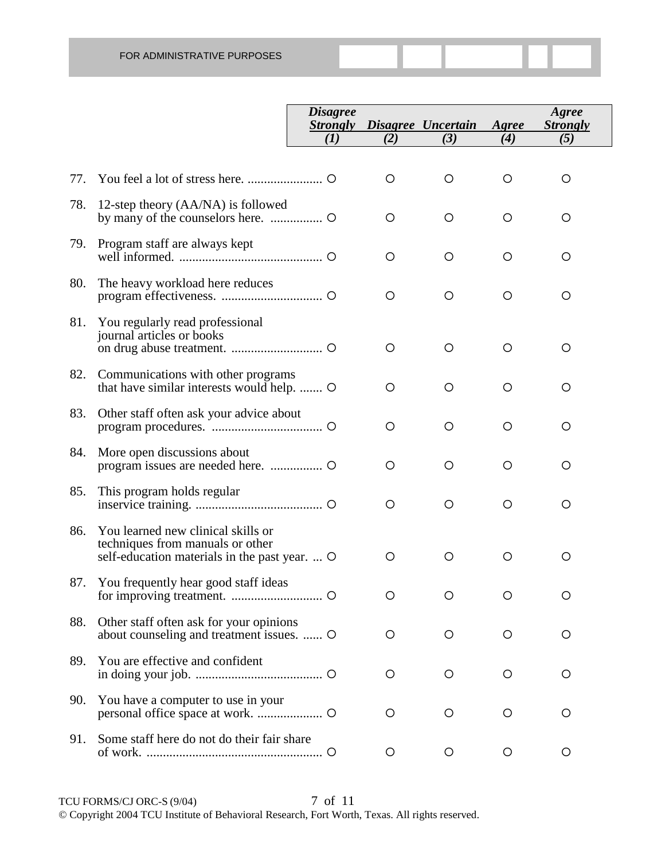|     |                                                                                                                         | <b>Disagree</b><br><b>Strongly</b> |         | Disagree Uncertain | Agree   | Agree<br><b>Strongly</b> |
|-----|-------------------------------------------------------------------------------------------------------------------------|------------------------------------|---------|--------------------|---------|--------------------------|
|     |                                                                                                                         | (I)                                | (2)     | (3)                | (4)     | (5)                      |
| 77. |                                                                                                                         |                                    | O       | $\circ$            | $\circ$ | O                        |
| 78. | 12-step theory (AA/NA) is followed                                                                                      |                                    | O       | O                  | O       | O                        |
| 79. | Program staff are always kept                                                                                           |                                    | O       | O                  | O       | O                        |
| 80. | The heavy workload here reduces                                                                                         |                                    | $\circ$ | $\circ$            | O       | $\circ$                  |
| 81. | You regularly read professional<br>journal articles or books                                                            |                                    | O       | $\circ$            | O       | $\circ$                  |
| 82. | Communications with other programs<br>that have similar interests would help.                                           |                                    | O       | O                  | O       | O                        |
| 83. | Other staff often ask your advice about                                                                                 |                                    | $\circ$ | $\circ$            | O       | $\circ$                  |
| 84. | More open discussions about                                                                                             |                                    | O       | $\circ$            | $\circ$ | O                        |
| 85. | This program holds regular                                                                                              |                                    | $\circ$ | $\circ$            | O       | O                        |
| 86. | You learned new clinical skills or<br>techniques from manuals or other<br>self-education materials in the past year.  O |                                    | O       | $\circ$            | $\circ$ | $\circ$                  |
| 87. | You frequently hear good staff ideas                                                                                    |                                    | O       | O                  | O       | O                        |
| 88. | Other staff often ask for your opinions<br>about counseling and treatment issues.  O                                    |                                    | O       | $\circ$            | $\circ$ | O                        |
| 89. | You are effective and confident                                                                                         |                                    | O       | O                  | $\circ$ | O                        |
| 90. | You have a computer to use in your                                                                                      |                                    | O       | O                  | $\circ$ | $\circ$                  |
| 91. | Some staff here do not do their fair share                                                                              |                                    | O       | O                  | O       | O                        |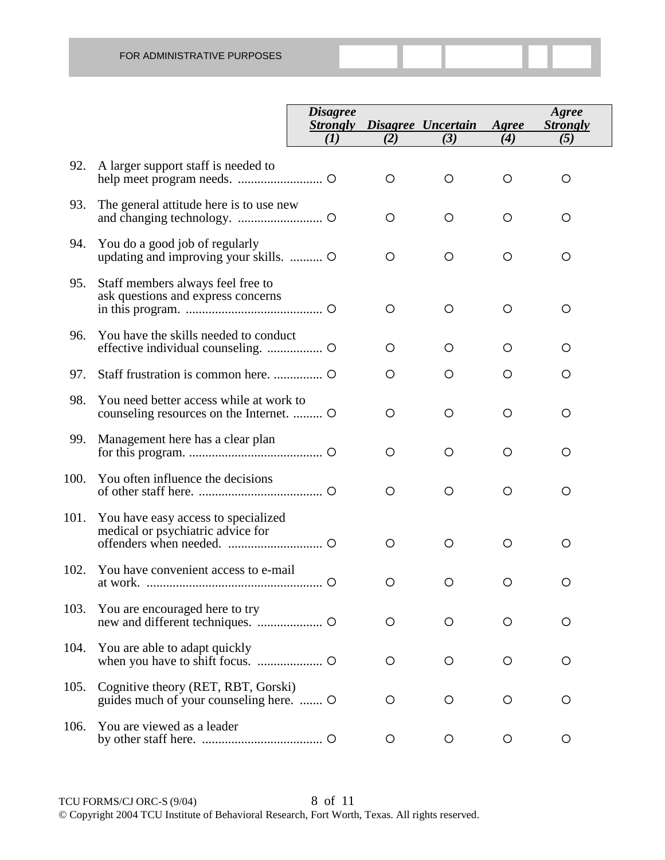|      |                                                                                     | <b>Disagree</b><br><b>Strongly</b><br>(I) | (2)     | Disagree Uncertain<br>(3) | Agree<br>(4) | Agree<br><b>Strongly</b><br>(5) |
|------|-------------------------------------------------------------------------------------|-------------------------------------------|---------|---------------------------|--------------|---------------------------------|
| 92.  | A larger support staff is needed to                                                 |                                           | O       | O                         | $\circ$      | $\circ$                         |
| 93.  | The general attitude here is to use new                                             |                                           | $\circ$ | O                         | $\circ$      | $\circ$                         |
| 94.  | You do a good job of regularly<br>updating and improving your skills.  O            |                                           | $\circ$ | O                         | $\circ$      | $\circ$                         |
| 95.  | Staff members always feel free to<br>ask questions and express concerns             |                                           | O       | O                         | $\circ$      | $\circ$                         |
| 96.  | You have the skills needed to conduct                                               |                                           | O       | O                         | O            | O                               |
| 97.  |                                                                                     |                                           | O       | O                         | $\circ$      | $\circ$                         |
| 98.  | You need better access while at work to<br>counseling resources on the Internet.  O |                                           | $\circ$ | O                         | $\circ$      | $\circ$                         |
| 99.  | Management here has a clear plan                                                    |                                           | $\circ$ | O                         | $\circ$      | $\circ$                         |
| 100. | You often influence the decisions                                                   |                                           | $\circ$ | $\circ$                   | $\circ$      | $\circ$                         |
| 101. | You have easy access to specialized<br>medical or psychiatric advice for            |                                           | $\circ$ | O                         | O            | $\circ$                         |
| 102. | You have convenient access to e-mail                                                |                                           | $\circ$ | O                         | $\circ$      | $\circ$                         |
| 103. | You are encouraged here to try                                                      |                                           | $\circ$ | $\circ$                   | O            | O                               |
| 104. | You are able to adapt quickly                                                       |                                           | $\circ$ | $\circ$                   | $\circ$      | O                               |
| 105. | Cognitive theory (RET, RBT, Gorski)<br>guides much of your counseling here.         |                                           | $\circ$ | $\circ$                   | $\circ$      | O                               |
| 106. | You are viewed as a leader                                                          |                                           | $\circ$ | O                         | $\circ$      | $\circ$                         |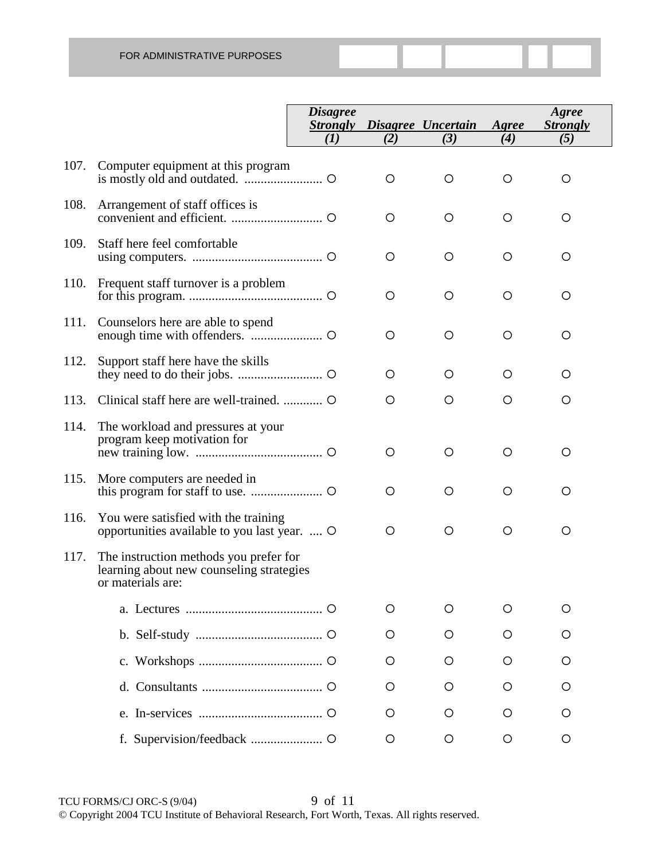|      |                                                                                                         | <b>Disagree</b><br><b>Strongly</b> |     | Disagree Uncertain | Agree   | Agree<br><b>Strongly</b> |
|------|---------------------------------------------------------------------------------------------------------|------------------------------------|-----|--------------------|---------|--------------------------|
|      |                                                                                                         | (I)                                | (2) | (3)                | (4)     | (5)                      |
| 107. | Computer equipment at this program                                                                      |                                    | O   | O                  | O       | $\circ$                  |
| 108. | Arrangement of staff offices is                                                                         |                                    | O   | $\circ$            | O       | $\circ$                  |
| 109. | Staff here feel comfortable                                                                             |                                    | O   | $\circ$            | $\circ$ | $\circ$                  |
| 110. | Frequent staff turnover is a problem                                                                    |                                    | O   | $\circ$            | O       | $\circ$                  |
| 111. | Counselors here are able to spend                                                                       |                                    | O   | $\circ$            | $\circ$ | $\circ$                  |
| 112. | Support staff here have the skills                                                                      |                                    | O   | $\circ$            | O       | O                        |
| 113. |                                                                                                         |                                    | O   | $\circ$            | O       | O                        |
| 114. | The workload and pressures at your<br>program keep motivation for                                       |                                    | O   | $\circ$            | $\circ$ | O                        |
| 115. | More computers are needed in                                                                            |                                    | O   | $\circ$            | O       | $\circ$                  |
| 116. | You were satisfied with the training<br>opportunities available to you last year.  O                    |                                    | O   | $\circ$            | $\circ$ | O                        |
| 117. | The instruction methods you prefer for<br>learning about new counseling strategies<br>or materials are: |                                    |     |                    |         |                          |
|      |                                                                                                         |                                    | O   | O                  | O       | O                        |
|      |                                                                                                         |                                    | O   | O                  | O       | O                        |
|      |                                                                                                         |                                    | O   | O                  | O       | O                        |
|      |                                                                                                         |                                    | O   | O                  | O       | Ő                        |
|      |                                                                                                         |                                    | O   | O                  | O       | O                        |
|      |                                                                                                         |                                    | O   | O                  | O       | $\circ$                  |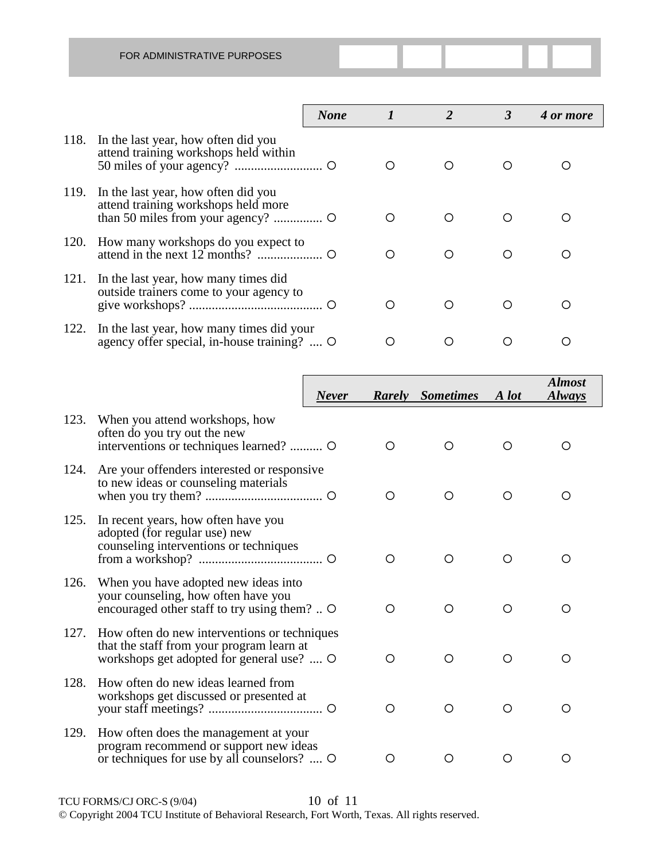|      |                                                                                          | <b>None</b> |   | 3 | 4 or more |
|------|------------------------------------------------------------------------------------------|-------------|---|---|-----------|
| 118. | In the last year, how often did you<br>attend training workshops held within             |             |   | ◯ |           |
| 119. | In the last year, how often did you<br>attend training workshops held more               |             |   |   |           |
| 120. | How many workshops do you expect to                                                      |             | ∩ | ◯ |           |
| 121. | In the last year, how many times did<br>outside trainers come to your agency to          |             | ∩ | ∩ |           |
| 122. | In the last year, how many times did your<br>agency offer special, in-house training?  O |             |   |   |           |

|      |                                                                                                                                        | <b>Never</b> |            | <b>Rarely</b> Sometimes | A lot      | <b>Almost</b><br><b>Always</b> |
|------|----------------------------------------------------------------------------------------------------------------------------------------|--------------|------------|-------------------------|------------|--------------------------------|
| 123. | When you attend workshops, how<br>often do you try out the new<br>interventions or techniques learned?  O                              |              | O          | O                       | ∩          | ∩                              |
| 124. | Are your offenders interested or responsive<br>to new ideas or counseling materials                                                    |              | ◯          | O                       | $\bigcirc$ | O                              |
| 125. | In recent years, how often have you<br>adopted (for regular use) new<br>counseling interventions or techniques                         |              | $\bigcirc$ | $\bigcirc$              | ◯          | O                              |
| 126. | When you have adopted new ideas into<br>your counseling, how often have you<br>encouraged other staff to try using them?  O            |              | O          | O                       | O          | O                              |
| 127. | How often do new interventions or techniques<br>that the staff from your program learn at<br>workshops get adopted for general use?  O |              | O          | O                       | $\bigcirc$ | ∩                              |
| 128. | How often do new ideas learned from<br>workshops get discussed or presented at                                                         |              | O          | O                       | O          | O                              |
| 129. | How often does the management at your<br>program recommend or support new ideas<br>or techniques for use by all counselors?  O         |              | Ω          | O                       | ◯          | O                              |